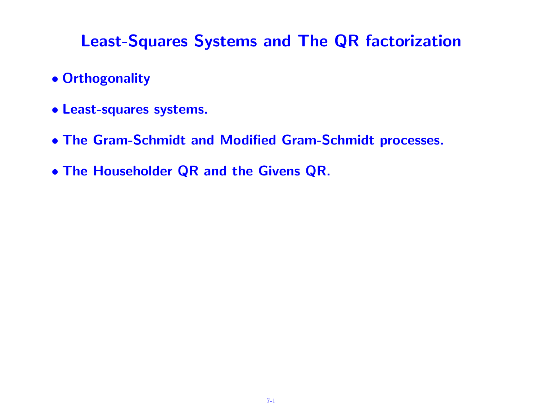### Least-Squares Systems and The QR factorization

- Orthogonality
- Least-squares systems.
- The Gram-Schmidt and Modified Gram-Schmidt processes.
- The Householder QR and the Givens QR.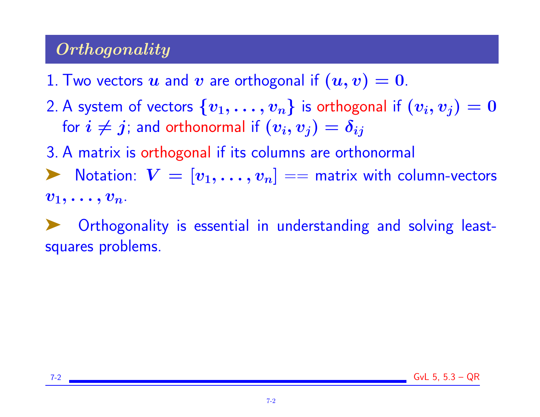# **Orthogonality**

- 1. Two vectors u and v are orthogonal if  $(u, v) = 0$ .
- 2. A system of vectors  $\{v_1, \ldots, v_n\}$  is orthogonal if  $(v_i, v_j) = 0$ for  $i \neq j$ ; and orthonormal if  $(v_i, v_j) = \delta_{ij}$

3. A matrix is orthogonal if its columns are orthonormal

ighthroapologies  $V = [v_1, \ldots, v_n] ==$  matrix with column-vectors  $v_1, \ldots, v_n$ .

Orthogonality is essential in understanding and solving leastsquares problems.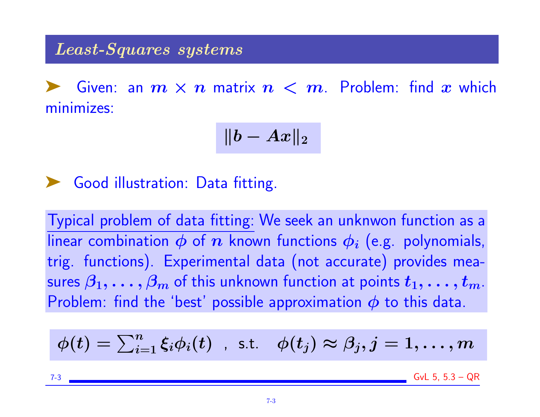#### Least-Squares systems

Given: an  $m \times n$  matrix  $n < m$ . Problem: find  $x$  which minimizes:

$$
\|b - Ax\|_2
$$

➤ Good illustration: Data fitting.

Typical problem of data fitting: We seek an unknwon function as a linear combination  $\phi$  of  $n$  known functions  $\phi_i$  (e.g. polynomials, trig. functions). Experimental data (not accurate) provides measures  $\beta_1, \ldots, \beta_m$  of this unknown function at points  $t_1, \ldots, t_m$ . Problem: find the 'best' possible approximation  $\phi$  to this data.

$$
\phi(t) = \textstyle\sum_{i=1}^n \xi_i \phi_i(t) \hspace{0.2cm}, \hspace{0.2cm} \text{s.t.} \hspace{0.2cm} \phi(t_j) \approx \beta_j, j=1,\ldots,m
$$

7-3 GvL 5, 5.3 – QR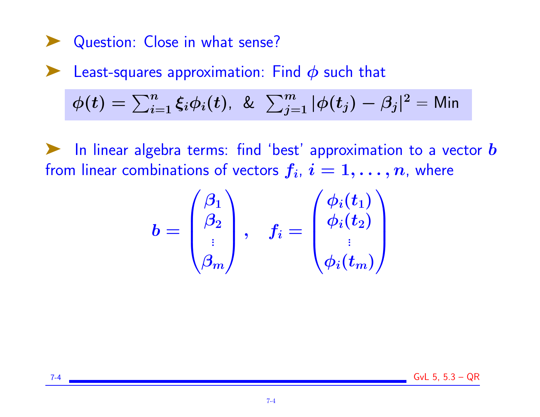Question: Close in what sense?

 $\blacktriangleright$  Least-squares approximation: Find  $\phi$  such that

 $\phi(t)=\sum_{i=1}^n \xi_i \phi_i(t)$ , &  $\sum_{j=1}^m |\phi(t_j)-\beta_j|^2=$  Min

 $\blacktriangleright$  In linear algebra terms: find 'best' approximation to a vector  $\bm{b}$ from linear combinations of vectors  $f_i,\,i=1,\ldots,n$ , where

$$
b=\begin{pmatrix}\beta_1\\\beta_2\\\vdots\\\beta_m\end{pmatrix},\quad f_i=\begin{pmatrix}\phi_i(t_1)\\\phi_i(t_2)\\\vdots\\\phi_i(t_m)\end{pmatrix}
$$

7-4 GvL 5, 5.3 – QR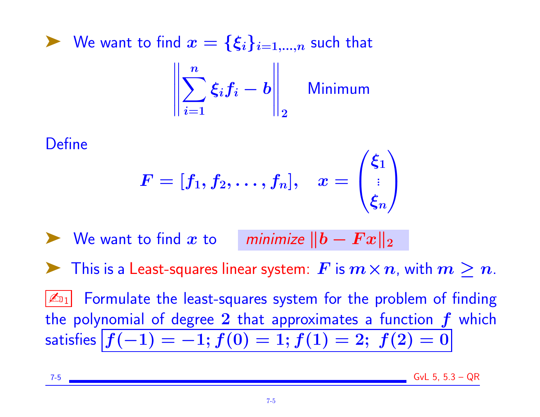$\blacktriangleright$  We want to find  $x = \{\xi_i\}_{i=1,...,n}$  such that  $\frac{1}{2}$  $\parallel$  $\parallel$  $\parallel$  $\parallel$  $\sum$  $\boldsymbol{n}$  $\dot{i}=1$  $\xi_if_i-b$  $\frac{1}{2}$  $\frac{1}{2}$  $\frac{1}{2}$  $\parallel$  $\parallel_2$ Minimum

#### **Define**

$$
F=[f_1,f_2,\ldots,f_n],\quad x=\begin{pmatrix}\xi_1\\\vdots\\ \xi_n\end{pmatrix}
$$

We want to find x to minimize  $||b - F x||_2$ This is a Least-squares linear system:  $\boldsymbol{F}$  is  $\boldsymbol{m}\times\boldsymbol{n}$ , with  $\boldsymbol{m}\geq\boldsymbol{n}$ .  $\mathbb{Z}_{11}$  Formulate the least-squares system for the problem of finding the polynomial of degree 2 that approximates a function  $f$  which satisfies  $f(-1) = -1; f(0) = 1; f(1) = 2; f(2) = 0$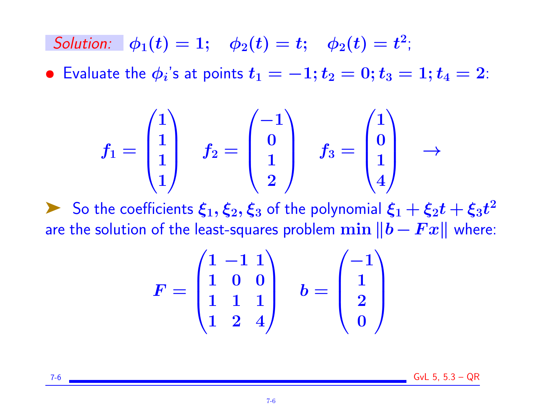Solution:  $\phi_1(t) = 1; \quad \phi_2(t) = t; \quad \phi_2(t) = t^2;$ 

 $\bullet\,$  Evaluate the  $\phi_i$ 's at points  $t_1=-1;t_2=0;t_3=1;t_4=2$ :

$$
f_1=\begin{pmatrix}1\\1\\1\\1\end{pmatrix}\quad f_2=\begin{pmatrix}-1\\0\\1\\2\end{pmatrix}\quad f_3=\begin{pmatrix}1\\0\\1\\4\end{pmatrix}\quad\to\quad
$$

So the coefficients  $\xi_1, \xi_2, \xi_3$  of the polynomial  $\xi_1 + \xi_2 t + \xi_3 t^2$ are the solution of the least-squares problem  $\min ||b - Fx||$  where:

$$
F = \begin{pmatrix} 1 & -1 & 1 \\ 1 & 0 & 0 \\ 1 & 1 & 1 \\ 1 & 2 & 4 \end{pmatrix} \quad b = \begin{pmatrix} -1 \\ 1 \\ 2 \\ 0 \end{pmatrix}
$$

7-6 GvL 5, 5.3 – QR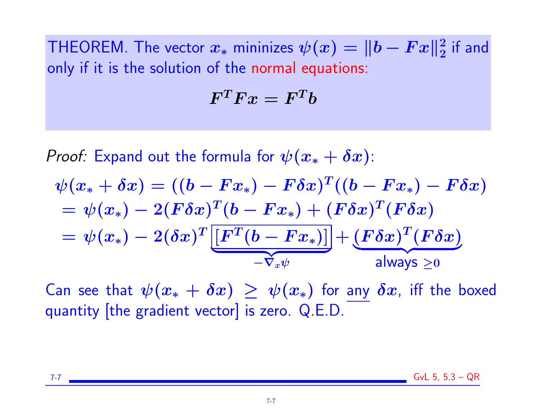THEOREM. The vector  $x_*$  mininizes  $\psi(x)=\|b-Fx\|_2^2$  $\frac{2}{2}$  if and only if it is the solution of the normal equations:

$$
F^TFx=F^Tb
$$

*Proof:* Expand out the formula for  $\psi(x_* + \delta x)$ :

$$
\psi(x_* + \delta x) = ((b - Fx_*) - F\delta x)^T((b - Fx_*) - F\delta x)
$$
  
= 
$$
\psi(x_*) - 2(F\delta x)^T(b - Fx_*) + (F\delta x)^T(F\delta x)
$$
  
= 
$$
\psi(x_*) - 2(\delta x)^T \underbrace{[F^T(b - Fx_*)]}_{-\nabla_x \psi} + \underbrace{(F\delta x)^T(F\delta x)}_{\text{always } \ge 0}
$$

Can see that  $\psi(x_* + \delta x) \geq \psi(x_*)$  for any  $\delta x$ , iff the boxed quantity [the gradient vector] is zero. Q.E.D.

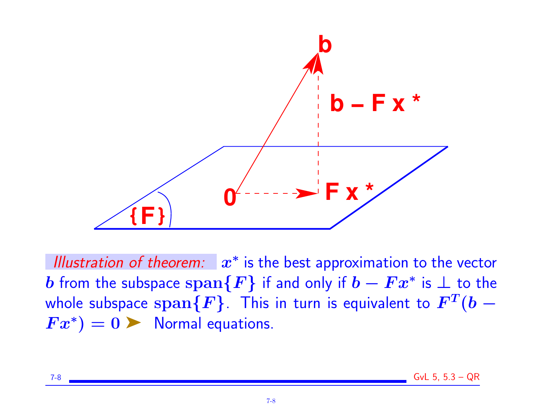

Illustration of theorem:  $x^*$  is the best approximation to the vector  $\bm{b}$  from the subspace  $\text{\rm span}\{\bm{F}\}$  if and only if  $\bm{b}-\bm{F}\bm{x}^*$  is  $\bm{\bot}$  to the whole subspace  $\operatorname{span}\{F\}.$  This in turn is equivalent to  $F^T(b-1)$  $Fx^*$ ) = 0  $\blacktriangleright$  Normal equations.

|--|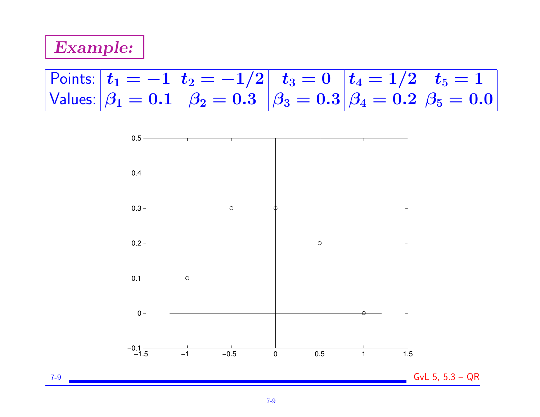# Example:

# Points:  $|t_1 = -1 | t_2 = -1/2 | t_3 = 0 | t_4 = 1/2 | t_5 = 1$ Values:  $\beta_1 = 0.1$   $\beta_2 = 0.3$   $\beta_3 = 0.3$   $\beta_4 = 0.2$   $\beta_5 = 0.0$

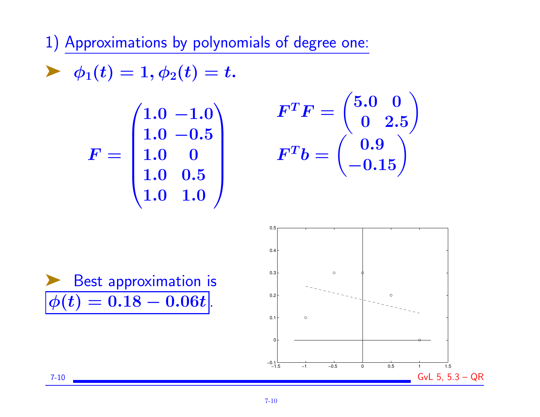1) Approximations by polynomials of degree one:

$$
\blacktriangleright \phi_1(t) = 1, \phi_2(t) = t.
$$
\n
$$
F = \begin{pmatrix} 1.0 & -1.0 \\ 1.0 & -0.5 \\ 1.0 & 0 \\ 1.0 & 0.5 \\ 1.0 & 1.0 \end{pmatrix}
$$

$$
F^TF=\begin{pmatrix}5.0&0\\0&2.5\end{pmatrix}
$$

$$
F^Tb=\begin{pmatrix}0.9\\-0.15\end{pmatrix}
$$

Best approximation is  $\phi(t) = 0.18 - 0.06t$ .

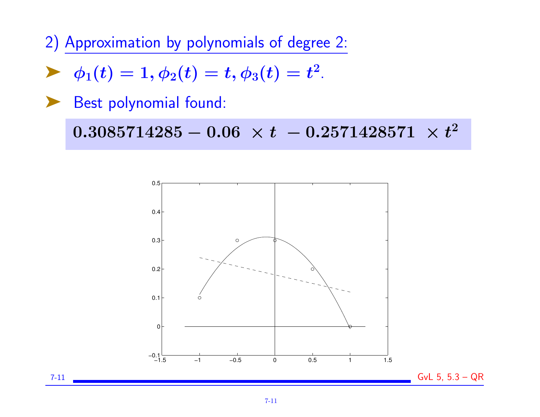2) Approximation by polynomials of degree 2:

$$
\blacktriangleright \ \ \phi_1(t) = 1, \phi_2(t) = t, \phi_3(t) = t^2.
$$

▶ Best polynomial found:

 $0.3085714285 - 0.06\ \times t\ - 0.2571428571\ \times t^2$ 



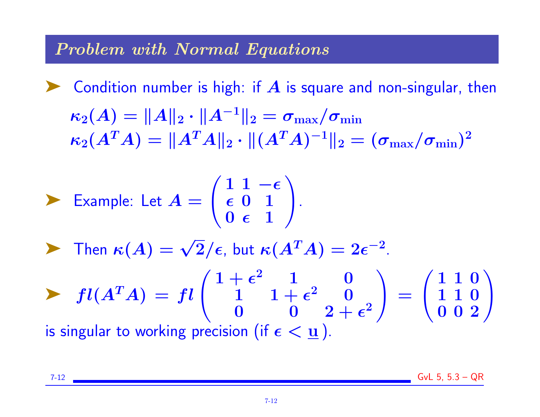#### Problem with Normal Equations

**EX** Condition number is high: if  $\vec{A}$  is square and non-singular, then  $\kappa_2(A) = ||A||_2 \cdot ||A^{-1}||_2 = \sigma_{\text{max}}/\sigma_{\text{min}}$  $\kappa_2(A^TA) = \|A^TA\|_2 \cdot \|(A^TA)^{-1}\|_2 = (\sigma_{\max}/\sigma_{\min})^2$ 

$$
\sum \text{Example: Let } A = \begin{pmatrix} 1 & 1 & -\epsilon \\ \epsilon & 0 & 1 \\ 0 & \epsilon & 1 \end{pmatrix}.
$$

Then  $\kappa(A) = \sqrt{2}/\epsilon$ , but  $\kappa(A^T A) = 2\epsilon^{-2}$ .

$$
fl(A^T A) = fl\begin{pmatrix} 1+\epsilon^2 & 1 & 0 \\ 1 & 1+\epsilon^2 & 0 \\ 0 & 0 & 2+\epsilon^2 \end{pmatrix} = \begin{pmatrix} 1 & 1 & 0 \\ 1 & 1 & 0 \\ 0 & 0 & 2 \end{pmatrix}
$$
  
is singular to working precision (if  $\epsilon < \underline{u}$ ).

7-12 GvL 5, 5.3 – QR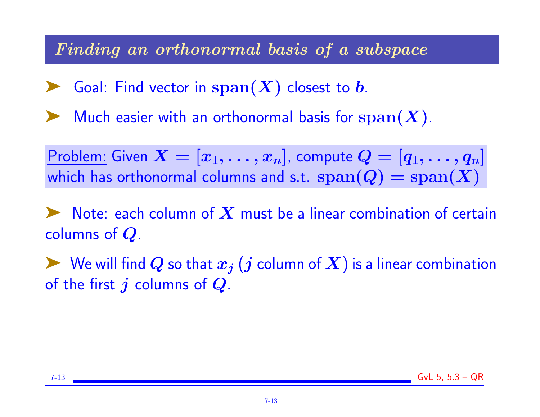#### Finding an orthonormal basis of a subspace

Soal: Find vector in  $\text{span}(X)$  closest to b.

Much easier with an orthonormal basis for  $\operatorname{span}(\boldsymbol{X})$ .

Problem: Given  $X=[x_1,\ldots,x_n]$ , compute  $Q=[q_1,\ldots,q_n]$ which has orthonormal columns and s.t.  $\text{span}(Q) = \text{span}(X)$ 

Note: each column of  $\boldsymbol{X}$  must be a linear combination of certain columns of  $Q$ .

 $\blacktriangleright$  We will find  $Q$  so that  $x_j$   $(j$  column of  $X$ ) is a linear combination of the first  $j$  columns of  $Q$ .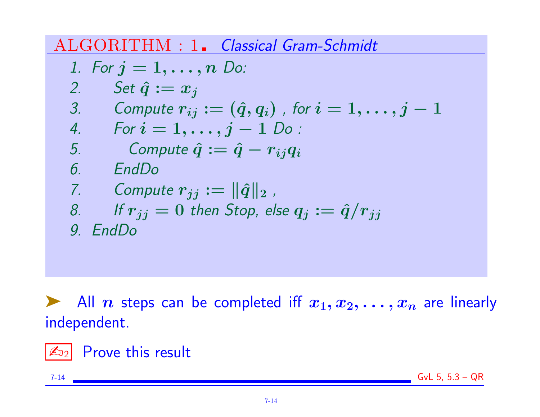ALGORITHM : 1. Classical Gram-Schmidt

\n- 1. For 
$$
j = 1, \ldots, n
$$
 Do:
\n- 2. Set  $\hat{q} := x_j$
\n- 3. Compute  $r_{ij} := (\hat{q}, q_i)$ , for  $i = 1, \ldots, j - 1$
\n- 4. For  $i = 1, \ldots, j - 1$  Do:
\n- 5. Compute  $\hat{q} := \hat{q} - r_{ij}q_i$
\n- 6. EndDo
\n- 7. Compute  $r_{jj} := ||\hat{q}||_2$ ,\n- 8. If  $r_{jj} = 0$  then Stop, else  $q_j := \hat{q}/r_{jj}$
\n- 9. EndDo
\n

All *n* steps can be completed iff  $x_1, x_2, \ldots, x_n$  are linearly independent.

✍<sup>2</sup> Prove this result

7-14 GvL 5, 5.3 – QR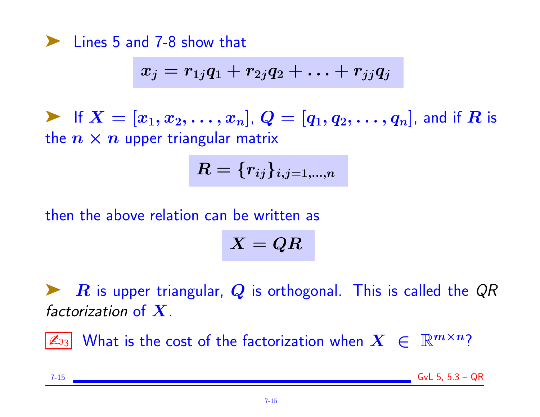➤ Lines 5 and 7-8 show that

$$
x_j=r_{1j}q_1+r_{2j}q_2+\ldots+r_{jj}q_j
$$

**Example 1** If  $X = [x_1, x_2, \ldots, x_n]$ ,  $Q = [q_1, q_2, \ldots, q_n]$ , and if  $R$  is the  $n \times n$  upper triangular matrix

$$
\boldsymbol{R}=\{r_{ij}\}_{i,j=1,...,n}
$$

then the above relation can be written as

$$
X=QR
$$

 $\bm{R}$  is upper triangular,  $\bm{Q}$  is orthogonal. This is called the  $\bm{Q}R$ factorization of  $X$ .

 $|\mathbb{Z}_{3}|$  What is the cost of the factorization when  $X~\in~\mathbb{R}^{m\times n}$ ?

7-15 GvL 5, 5.3 – QR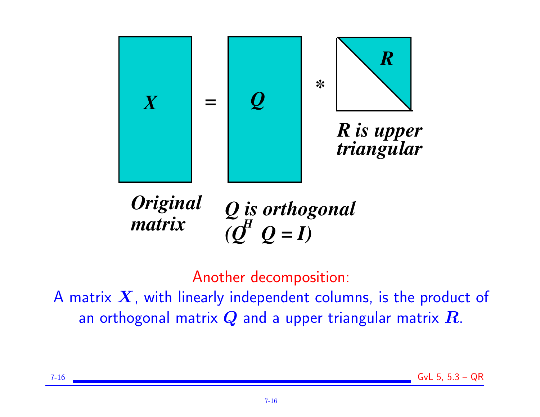

*Q is orthogonal*  $(Q^{\prime\prime} \ Q = I)$ *Original*   $matrix$ 

Another decomposition:

A matrix  $X$ , with linearly independent columns, is the product of an orthogonal matrix  $Q$  and a upper triangular matrix  $R$ .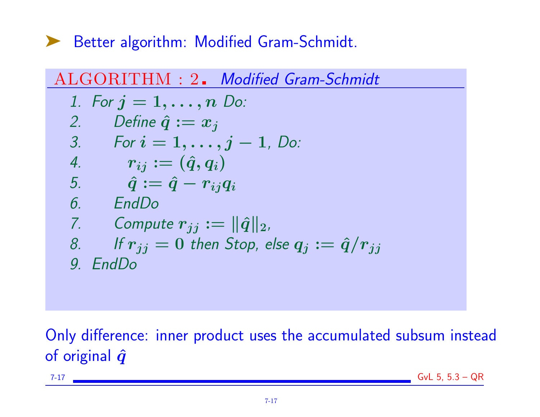➤ Better algorithm: Modified Gram-Schmidt.



Only difference: inner product uses the accumulated subsum instead of original  $\hat{q}$ 

7-17 GvL 5, 5.3 – QR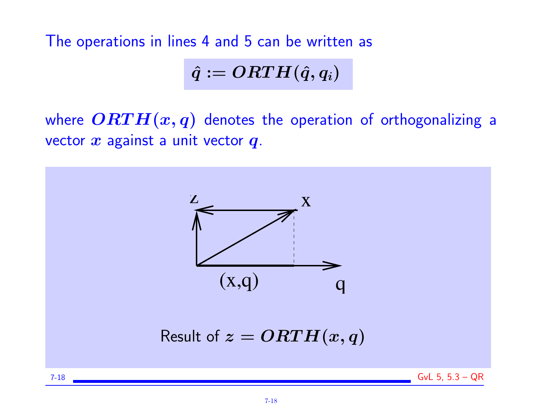The operations in lines 4 and 5 can be written as

$$
\hat{q}:=ORTH(\hat{q},q_i)
$$

where  $\overline{ORTH}(x,q)$  denotes the operation of orthogonalizing a vector  $x$  against a unit vector  $q$ .

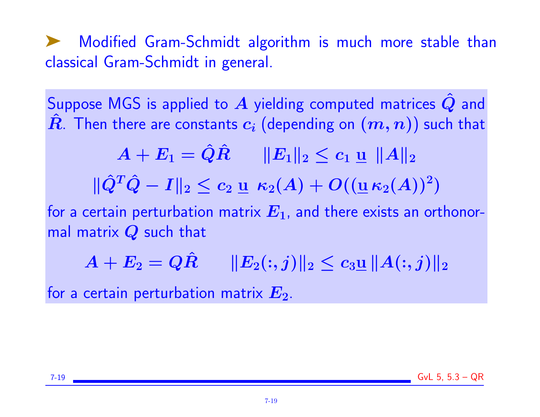➤ Modified Gram-Schmidt algorithm is much more stable than classical Gram-Schmidt in general.

Suppose MGS is applied to  $\overline{A}$  yielding computed matrices  $\hat{Q}$  and  $\hat{R}$ . Then there are constants  $c_i$  (depending on  $(m,n)$ ) such that

$$
\begin{array}{cc} A+E_1=\hat Q\hat R & \|E_1\|_2\leq c_1\ \underline{\mathsf{u}}\,\,\|A\|_2 \\[3mm] \|\hat Q^T\hat Q-I\|_2\leq c_2\ \underline{\mathsf{u}}\,\,\kappa_2(A)+O((\underline{\mathsf{u}}\,\kappa_2(A))^2) \end{array}
$$

for a certain perturbation matrix  $E_1$ , and there exists an orthonormal matrix  $Q$  such that

$$
A+E_2=Q\hat{R}\qquad \|E_2(:,j)\|_2\leq c_3\underline{{\mathbf u}}\, \|A(:,j)\|_2
$$

for a certain perturbation matrix  $E_2$ .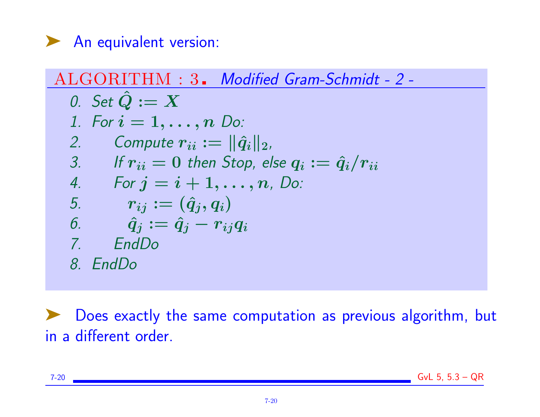

| ALGORITHM : 3. Modified Gram-Schmidt - 2-                    |
|--------------------------------------------------------------|
| 0. Set $\hat{Q} := X$                                        |
| 1. For $i = 1, ..., n$ Do:                                   |
| 2. Compute $r_{ii} :=   \hat{q}_i  _2$ ,                     |
| 3. If $r_{ii} = 0$ then Stop, else $q_i := \hat{q}_i/r_{ii}$ |
| 4. For $j = i + 1, ..., n$ , Do:                             |
| 5. $r_{ij} := (\hat{q}_j, q_i)$                              |
| 6. $\hat{q}_j := \hat{q}_j - r_{ij}q_i$                      |
| 7. EndDo                                                     |
| 8. EndDo                                                     |

➤ Does exactly the same computation as previous algorithm, but in a different order.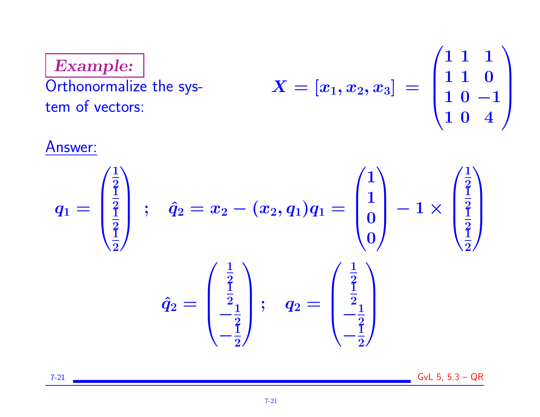Example: Orthonormalize the system of vectors:  $X = [x_1, x_2, x_3] \; =$  $\sqrt{ }$  $\overline{\phantom{a}}$ 1 1 1 1 1 0  $10 - 1$ 1 0 4  $\setminus$  $\Big\}$ 

#### Answer:



7-21 GvL 5, 5.3 – QR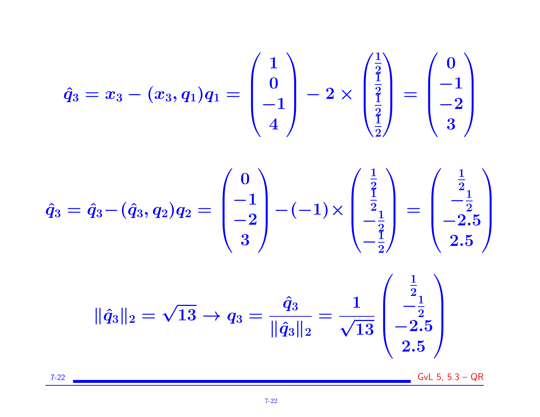$$
\hat{q}_3 = x_3 - (x_3, q_1)q_1 = \begin{pmatrix} 1 \\ 0 \\ -1 \\ 4 \end{pmatrix} - 2 \times \begin{pmatrix} \frac{1}{2} \\ \frac{1}{2} \\ \frac{1}{2} \end{pmatrix} = \begin{pmatrix} 0 \\ -1 \\ -2 \\ 3 \end{pmatrix}
$$

$$
\hat{q}_3 = \hat{q}_3 - (\hat{q}_3, q_2)q_2 = \begin{pmatrix} 0 \\ -1 \\ -2 \\ 3 \end{pmatrix} - (-1) \times \begin{pmatrix} \frac{1}{2} \\ \frac{1}{2} \\ -\frac{1}{2} \\ -\frac{1}{2} \end{pmatrix} = \begin{pmatrix} \frac{1}{2} \\ -\frac{1}{2} \\ -2.5 \\ 2.5 \end{pmatrix}
$$

$$
\|\hat{q}_3\|_2 = \sqrt{13} \rightarrow q_3 = \frac{\hat{q}_3}{\|\hat{q}_3\|_2} = \frac{1}{\sqrt{13}} \begin{pmatrix} \frac{1}{2} \\ -\frac{1}{2} \\ -2.5 \end{pmatrix}
$$

7-22 GvL 5, 5.3 – QR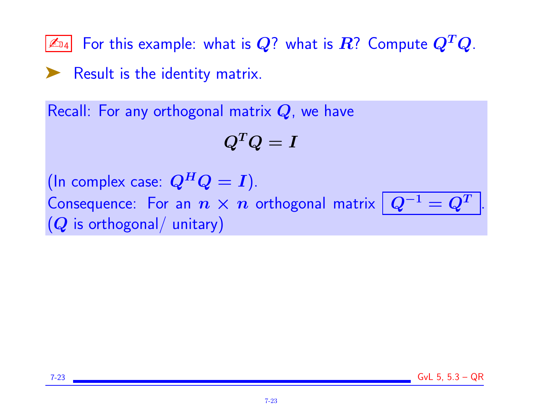$\boxed{\mathbb{Z}_{\text{D4}}}$  For this example: what is  $\bm{Q}?$  what is  $\bm{R}?$  Compute  $\bm{Q}^T\bm{Q}.$ 

➤ Result is the identity matrix.

Recall: For any orthogonal matrix  $Q$ , we have

$$
Q^TQ=I
$$

(In complex case:  $Q^H Q = I$ ).

Consequence: For an  $n \times n$  orthogonal matrix  $|Q^{-1} = Q^{T}|$  $(Q$  is orthogonal/ unitary)

.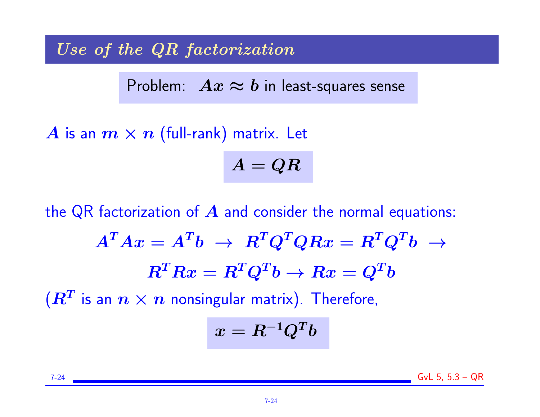Use of the QR factorization

Problem:  $Ax \approx b$  in least-squares sense

A is an  $m \times n$  (full-rank) matrix. Let  $A = QR$ 

the QR factorization of  $\boldsymbol{A}$  and consider the normal equations:  $A^TAx = A^Tb \ \rightarrow \ R^TQ^TQRx = R^TQ^Tb \ \rightarrow$  $\boldsymbol{R}^T\boldsymbol{R} \boldsymbol{x} = \boldsymbol{R}^T\boldsymbol{Q}^T\boldsymbol{b} \rightarrow \boldsymbol{R} \boldsymbol{x} = \boldsymbol{Q}^T\boldsymbol{b}$  $(\boldsymbol{R^{T}}$  is an  $\boldsymbol{n}\times\boldsymbol{n}$  nonsingular matrix). Therefore,  $x = R^{-1}Q^Tb$ 

7-24 GvL 5, 5.3 – QR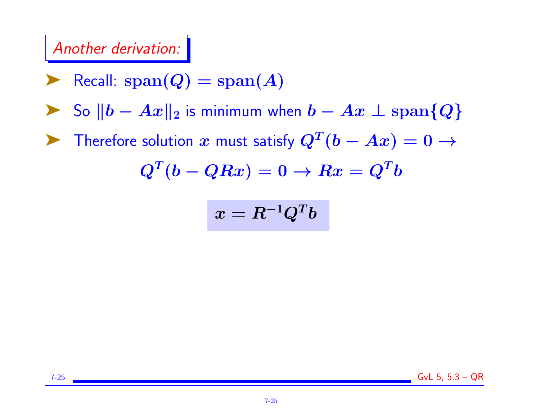# Another derivation:

$$
\blacktriangleright \ \text{Recall: span}(Q) = \text{span}(A)
$$

► So  $||b - Ax||_2$  is minimum when  $b - Ax \perp \text{span}{Q}$ 

▶ Therefore solution  $x$  must satisfy  $Q^T(b - Ax) = 0 \rightarrow$ 

$$
Q^T(b-QRx)=0 \rightarrow Rx=Q^Tb
$$

$$
x = R^{-1}Q^Tb
$$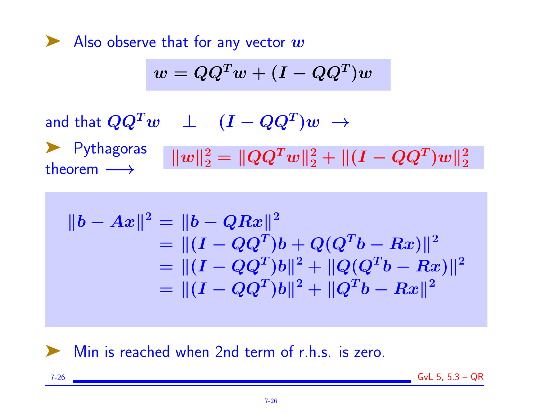Also observe that for any vector  $w$ 

$$
w = QQ^Tw + (I - QQ^T)w
$$

and that  $\boldsymbol{Q}\boldsymbol{Q}^T\boldsymbol{w}$   $\quad\perp\quad(\boldsymbol{I}-\boldsymbol{Q}\boldsymbol{Q}^T)\boldsymbol{w}\,\rightarrow\,$ 

➤ Pythagoras theorem  $\longrightarrow$  $\| w \|_2^2 = \| Q Q^T w \|_2^2 + \| (I - Q Q^T) w \|_2^2$ 2

$$
||b - Ax||2 = ||b - QRx||2
$$
  
=  $||(I - QQT)b + Q(QTb - Rx)||2$   
=  $||(I - QQT)b||2 + ||Q(QTb - Rx)||2$   
=  $||(I - QQT)b||2 + ||QTb - Rx||2$ 

### ▶ Min is reached when 2nd term of r.h.s. is zero.

7-26 GvL 5, 5.3 – QR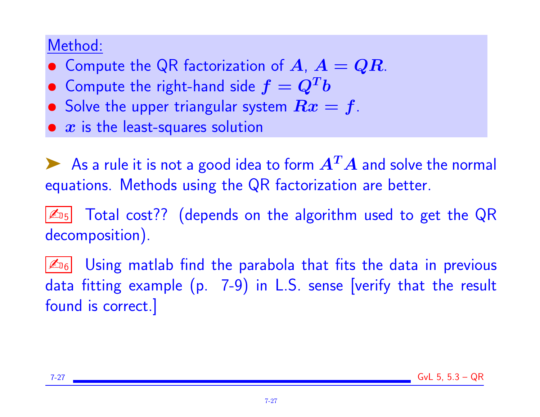# Method:

- Compute the QR factorization of  $A, A = QR$ .
- $\bullet~$  Compute the right-hand side  $f=Q^Tb$
- Solve the upper triangular system  $Rx = f$ .
- $\bullet \; x$  is the least-squares solution

As a rule it is not a good idea to form  $A<sup>T</sup>A$  and solve the normal equations. Methods using the QR factorization are better.

 $\boxed{\mathbb{Z}_{\scriptscriptstyle 15}}$  Total cost?? (depends on the algorithm used to get the QR decomposition).

 $\mathbb{Z}_{16}$  Using matlab find the parabola that fits the data in previous data fitting example (p. 7-9) in L.S. sense [verify that the result found is correct.]